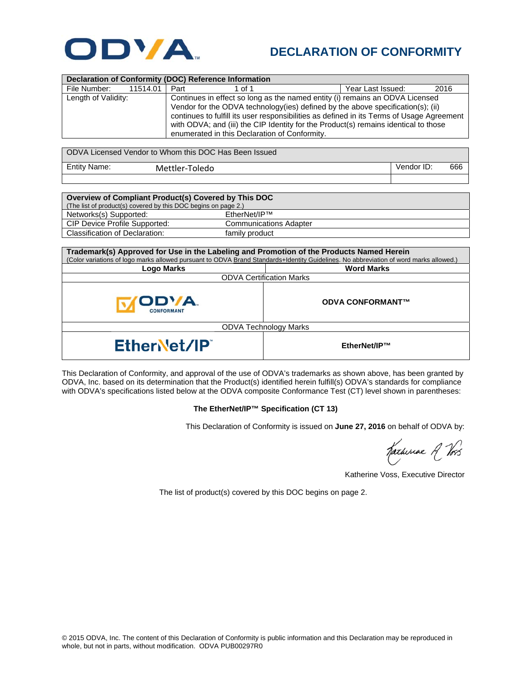

## **DECLARATION OF CONFORMITY**

| Declaration of Conformity (DOC) Reference Information |                                                                                           |                                                                              |                   |      |  |
|-------------------------------------------------------|-------------------------------------------------------------------------------------------|------------------------------------------------------------------------------|-------------------|------|--|
| File Number:<br>11514.01                              | Part                                                                                      | 1 of 1                                                                       | Year Last Issued: | 2016 |  |
| Length of Validity:                                   |                                                                                           | Continues in effect so long as the named entity (i) remains an ODVA Licensed |                   |      |  |
|                                                       | Vendor for the ODVA technology(ies) defined by the above specification(s); (ii)           |                                                                              |                   |      |  |
|                                                       | continues to fulfill its user responsibilities as defined in its Terms of Usage Agreement |                                                                              |                   |      |  |
|                                                       | with ODVA; and (iii) the CIP Identity for the Product(s) remains identical to those       |                                                                              |                   |      |  |
|                                                       | enumerated in this Declaration of Conformity.                                             |                                                                              |                   |      |  |
|                                                       |                                                                                           |                                                                              |                   |      |  |

| I ODVA Licensed Vendor to Whom this DOC Has Been Issued |                |                   |  |  |
|---------------------------------------------------------|----------------|-------------------|--|--|
| Entity Name:                                            | Mettler-Toledo | 666<br>Vendor ID: |  |  |
|                                                         |                |                   |  |  |

| Overview of Compliant Product(s) Covered by This DOC           |                               |  |  |  |
|----------------------------------------------------------------|-------------------------------|--|--|--|
| (The list of product(s) covered by this DOC begins on page 2.) |                               |  |  |  |
| Networks(s) Supported:                                         | EtherNet/IP™                  |  |  |  |
| CIP Device Profile Supported:                                  | <b>Communications Adapter</b> |  |  |  |
| Classification of Declaration:                                 | family product                |  |  |  |

| Trademark(s) Approved for Use in the Labeling and Promotion of the Products Named Herein<br>(Color variations of logo marks allowed pursuant to ODVA Brand Standards+Identity Guidelines. No abbreviation of word marks allowed.) |                         |  |  |
|-----------------------------------------------------------------------------------------------------------------------------------------------------------------------------------------------------------------------------------|-------------------------|--|--|
| Logo Marks                                                                                                                                                                                                                        | <b>Word Marks</b>       |  |  |
| <b>ODVA Certification Marks</b>                                                                                                                                                                                                   |                         |  |  |
| ODVA.<br><b>CONFORMANT</b>                                                                                                                                                                                                        | <b>ODVA CONFORMANT™</b> |  |  |
| <b>ODVA Technology Marks</b>                                                                                                                                                                                                      |                         |  |  |
| EtherNet/IP                                                                                                                                                                                                                       | EtherNet/IP™            |  |  |

This Declaration of Conformity, and approval of the use of ODVA's trademarks as shown above, has been granted by ODVA, Inc. based on its determination that the Product(s) identified herein fulfill(s) ODVA's standards for compliance with ODVA's specifications listed below at the ODVA composite Conformance Test (CT) level shown in parentheses:

## **The EtherNet/IP™ Specification (CT 13)**

This Declaration of Conformity is issued on **June 27, 2016** on behalf of ODVA by:

Katheriae A Vos

Katherine Voss, Executive Director

The list of product(s) covered by this DOC begins on page 2.